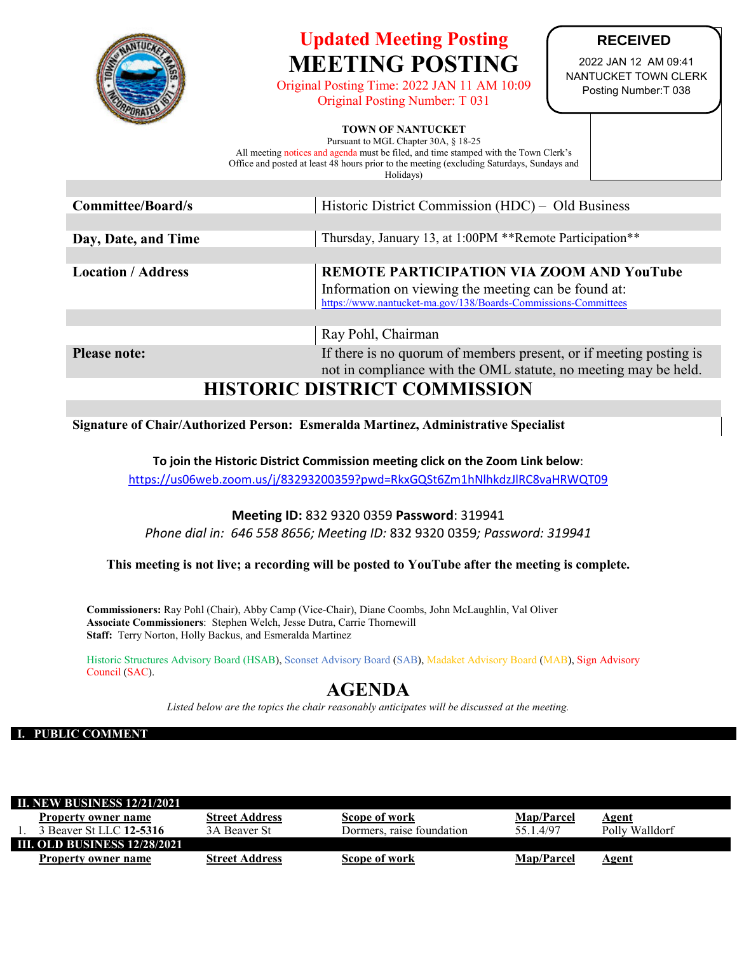

# **Updated Meeting Posting MEETING POSTING**

Original Posting Time: 2022 JAN 11 AM 10:09 Original Posting Number: T 031

## **RECEIVED**

2022 JAN 12 AM 09:41 NANTUCKET TOWN CLERK Posting Number:T 038

#### **TOWN OF NANTUCKET**

Pursuant to MGL Chapter 30A, § 18-25 All meeting notices and agenda must be filed, and time stamped with the Town Clerk's Office and posted at least 48 hours prior to the meeting (excluding Saturdays, Sundays and Holidays)

| Committee/Board/s            | Historic District Commission (HDC) – Old Business                                                                                                                  |  |  |
|------------------------------|--------------------------------------------------------------------------------------------------------------------------------------------------------------------|--|--|
|                              |                                                                                                                                                                    |  |  |
| Day, Date, and Time          | Thursday, January 13, at 1:00PM **Remote Participation**                                                                                                           |  |  |
|                              |                                                                                                                                                                    |  |  |
| <b>Location / Address</b>    | REMOTE PARTICIPATION VIA ZOOM AND YouTube<br>Information on viewing the meeting can be found at:<br>https://www.nantucket-ma.gov/138/Boards-Commissions-Committees |  |  |
|                              | Ray Pohl, Chairman                                                                                                                                                 |  |  |
| <b>Please note:</b>          | If there is no quorum of members present, or if meeting posting is<br>not in compliance with the OML statute, no meeting may be held.                              |  |  |
| HISTODIC DISTDICT COMMISSION |                                                                                                                                                                    |  |  |

## **HISTORIC DISTRICT COMMISSION**

**Signature of Chair/Authorized Person: Esmeralda Martinez, Administrative Specialist**

**To join the Historic District Commission meeting click on the Zoom Link below**: <https://us06web.zoom.us/j/83293200359?pwd=RkxGQSt6Zm1hNlhkdzJlRC8vaHRWQT09>

# **Meeting ID:** 832 9320 0359 **Password**: 319941

*Phone dial in: 646 558 8656; Meeting ID:* 832 9320 0359*; Password: 319941*

**This meeting is not live; a recording will be posted to YouTube after the meeting is complete.**

**Commissioners:** Ray Pohl (Chair), Abby Camp (Vice-Chair), Diane Coombs, John McLaughlin, Val Oliver **Associate Commissioners**: Stephen Welch, Jesse Dutra, Carrie Thornewill **Staff:** Terry Norton, Holly Backus, and Esmeralda Martinez

Historic Structures Advisory Board (HSAB), Sconset Advisory Board (SAB), Madaket Advisory Board (MAB), Sign Advisory Council (SAC).

# **AGENDA**

*Listed below are the topics the chair reasonably anticipates will be discussed at the meeting.*

#### **I. PUBLIC COMMENT**

| <b>II. NEW BUSINESS 12/21/2021</b>  |                       |                           |                   |                |  |
|-------------------------------------|-----------------------|---------------------------|-------------------|----------------|--|
| Property owner name                 | <b>Street Address</b> | Scope of work             | <b>Map/Parcel</b> | Agent          |  |
| 3 Beaver St LLC 12-5316             | 3A Beaver St          | Dormers, raise foundation | 55 1 4/97         | Polly Walldorf |  |
| <b>III. OLD BUSINESS 12/28/2021</b> |                       |                           |                   |                |  |
| Property owner name                 | <b>Street Address</b> | Scope of work             | <b>Map/Parcel</b> | Agent          |  |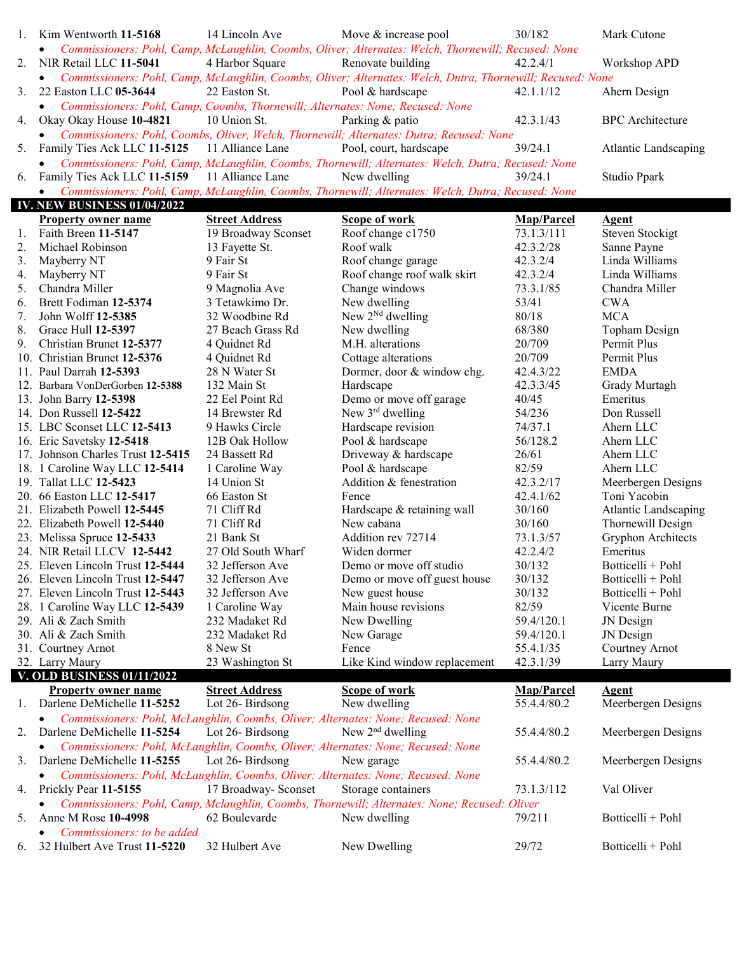| 1. | Kim Wentworth 11-5168                                                                       | 14 Lincoln Ave        | Move & increase pool                                                                                       | 30/182            | Mark Cutone             |
|----|---------------------------------------------------------------------------------------------|-----------------------|------------------------------------------------------------------------------------------------------------|-------------------|-------------------------|
|    | $\bullet$                                                                                   |                       | Commissioners: Pohl, Camp, McLaughlin, Coombs, Oliver; Alternates: Welch, Thornewill; Recused: None        |                   |                         |
| 2. | NIR Retail LLC 11-5041                                                                      | 4 Harbor Square       | Renovate building                                                                                          | 42.2.4/1          | Workshop APD            |
|    | $\bullet$                                                                                   |                       | Commissioners: Pohl, Camp, McLaughlin, Coombs, Oliver; Alternates: Welch, Dutra, Thornewill; Recused: None |                   |                         |
| 3. | 22 Easton LLC 05-3644                                                                       | 22 Easton St.         | Pool & hardscape                                                                                           | 42.1.1/12         | Ahern Design            |
|    | Commissioners: Pohl, Camp, Coombs, Thornewill; Alternates: None; Recused: None<br>$\bullet$ |                       |                                                                                                            |                   |                         |
| 4. | Okay Okay House 10-4821                                                                     | 10 Union St.          | Parking & patio                                                                                            | 42.3.1/43         | <b>BPC</b> Architecture |
|    | $\bullet$                                                                                   |                       | Commissioners: Pohl, Coombs, Oliver, Welch, Thornewill; Alternates: Dutra; Recused: None                   |                   |                         |
|    | Family Ties Ack LLC 11-5125                                                                 | 11 Alliance Lane      | Pool, court, hardscape                                                                                     | 39/24.1           |                         |
| 5. |                                                                                             |                       |                                                                                                            |                   | Atlantic Landscaping    |
|    | $\bullet$                                                                                   |                       | Commissioners: Pohl, Camp, McLaughlin, Coombs, Thornewill; Alternates: Welch, Dutra; Recused: None         |                   |                         |
| 6. | Family Ties Ack LLC 11-5159                                                                 | 11 Alliance Lane      | New dwelling                                                                                               | 39/24.1           | Studio Ppark            |
|    | $\bullet$                                                                                   |                       | Commissioners: Pohl, Camp, McLaughlin, Coombs, Thornewill; Alternates: Welch, Dutra; Recused: None         |                   |                         |
|    | <b>IV. NEW BUSINESS 01/04/2022</b>                                                          |                       |                                                                                                            |                   |                         |
|    | <b>Property owner name</b>                                                                  | <b>Street Address</b> | <b>Scope of work</b>                                                                                       | Map/Parcel        | <b>Agent</b>            |
| 1. | Faith Breen 11-5147                                                                         | 19 Broadway Sconset   | Roof change c1750                                                                                          | 73.1.3/111        | <b>Steven Stockigt</b>  |
| 2. | Michael Robinson                                                                            | 13 Fayette St.        | Roof walk                                                                                                  | 42.3.2/28         | Sanne Payne             |
| 3. | Mayberry NT                                                                                 | 9 Fair St             | Roof change garage                                                                                         | 42.3.2/4          | Linda Williams          |
| 4. | Mayberry NT                                                                                 | 9 Fair St             | Roof change roof walk skirt                                                                                | 42.3.2/4          | Linda Williams          |
| 5. | Chandra Miller                                                                              | 9 Magnolia Ave        | Change windows                                                                                             | 73.3.1/85         | Chandra Miller          |
| 6. | Brett Fodiman 12-5374                                                                       | 3 Tetawkimo Dr.       | New dwelling                                                                                               | 53/41             | <b>CWA</b>              |
| 7. | John Wolff 12-5385                                                                          | 32 Woodbine Rd        | New $2^{Nd}$ dwelling                                                                                      | 80/18             | <b>MCA</b>              |
| 8. | Grace Hull 12-5397                                                                          | 27 Beach Grass Rd     | New dwelling                                                                                               | 68/380            | Topham Design           |
| 9. | Christian Brunet 12-5377                                                                    | 4 Quidnet Rd          | M.H. alterations                                                                                           | 20/709            | Permit Plus             |
|    | 10. Christian Brunet 12-5376                                                                | 4 Quidnet Rd          | Cottage alterations                                                                                        | 20/709            | Permit Plus             |
|    | 11. Paul Darrah 12-5393                                                                     | 28 N Water St         | Dormer, door & window chg.                                                                                 | 42.4.3/22         | <b>EMDA</b>             |
|    | 12. Barbara VonDerGorben 12-5388                                                            | 132 Main St           | Hardscape                                                                                                  | 42.3.3/45         | Grady Murtagh           |
|    | 13. John Barry 12-5398                                                                      | 22 Eel Point Rd       | Demo or move off garage                                                                                    | 40/45             | Emeritus                |
|    | 14. Don Russell 12-5422                                                                     | 14 Brewster Rd        | New 3rd dwelling                                                                                           | 54/236            | Don Russell             |
|    | 15. LBC Sconset LLC 12-5413                                                                 | 9 Hawks Circle        | Hardscape revision                                                                                         | 74/37.1           | Ahern LLC               |
|    | 16. Eric Savetsky 12-5418                                                                   | 12B Oak Hollow        | Pool & hardscape                                                                                           | 56/128.2          | Ahern LLC               |
|    | 17. Johnson Charles Trust 12-5415                                                           | 24 Bassett Rd         | Driveway & hardscape                                                                                       | 26/61             | Ahern LLC               |
|    | 18. 1 Caroline Way LLC 12-5414                                                              | 1 Caroline Way        | Pool & hardscape                                                                                           | 82/59             | Ahern LLC               |
|    | 19. Tallat LLC 12-5423                                                                      | 14 Union St           | Addition & fenestration                                                                                    | 42.3.2/17         | Meerbergen Designs      |
|    | 20. 66 Easton LLC 12-5417                                                                   | 66 Easton St          | Fence                                                                                                      | 42.4.1/62         | Toni Yacobin            |
|    | 21. Elizabeth Powell 12-5445                                                                | 71 Cliff Rd           | Hardscape & retaining wall                                                                                 | 30/160            | Atlantic Landscaping    |
|    | 22. Elizabeth Powell 12-5440                                                                | 71 Cliff Rd           | New cabana                                                                                                 | 30/160            | Thornewill Design       |
|    | 23. Melissa Spruce 12-5433                                                                  | 21 Bank St            | Addition rev 72714                                                                                         | 73.1.3/57         | Gryphon Architects      |
|    | 24. NIR Retail LLCV 12-5442                                                                 | 27 Old South Wharf    | Widen dormer                                                                                               | 42.2.4/2          | Emeritus                |
|    | 25. Eleven Lincoln Trust 12-5444                                                            | 32 Jefferson Ave      | Demo or move off studio                                                                                    | 30/132            | Botticelli + Pohl       |
|    | 26. Eleven Lincoln Trust 12-5447                                                            | 32 Jefferson Ave      | Demo or move off guest house                                                                               | 30/132            | Botticelli + Pohl       |
|    | 27. Eleven Lincoln Trust 12-5443                                                            | 32 Jefferson Ave      | New guest house                                                                                            | 30/132            | Botticelli + Pohl       |
|    |                                                                                             |                       |                                                                                                            |                   |                         |
|    |                                                                                             |                       |                                                                                                            |                   |                         |
|    | 28. 1 Caroline Way LLC 12-5439                                                              | 1 Caroline Way        | Main house revisions                                                                                       | 82/59             | Vicente Burne           |
|    | 29. Ali & Zach Smith                                                                        | 232 Madaket Rd        | New Dwelling                                                                                               | 59.4/120.1        | JN Design               |
|    | 30. Ali & Zach Smith                                                                        | 232 Madaket Rd        | New Garage                                                                                                 | 59.4/120.1        | JN Design               |
|    | 31. Courtney Arnot                                                                          | 8 New St              | Fence                                                                                                      | 55.4.1/35         | Courtney Arnot          |
|    | 32. Larry Maury                                                                             | 23 Washington St      | Like Kind window replacement                                                                               | 42.3.1/39         | Larry Maury             |
|    | <b>V. OLD BUSINESS 01/11/2022</b>                                                           |                       |                                                                                                            |                   |                         |
|    | <b>Property owner name</b>                                                                  | <b>Street Address</b> | <b>Scope of work</b>                                                                                       | <b>Map/Parcel</b> | <b>Agent</b>            |
| 1. | Darlene DeMichelle 11-5252                                                                  | Lot 26-Birdsong       | New dwelling                                                                                               | 55.4.4/80.2       | Meerbergen Designs      |
|    | $\bullet$                                                                                   |                       | Commissioners: Pohl, McLaughlin, Coombs, Oliver; Alternates: None; Recused: None                           |                   |                         |
| 2. | Darlene DeMichelle 11-5254                                                                  | Lot 26-Birdsong       | New $2nd$ dwelling                                                                                         | 55.4.4/80.2       | Meerbergen Designs      |
|    | $\bullet$                                                                                   |                       | Commissioners: Pohl, McLaughlin, Coombs, Oliver; Alternates: None; Recused: None                           |                   |                         |
| 3. | Darlene DeMichelle 11-5255                                                                  | Lot 26-Birdsong       | New garage                                                                                                 | 55.4.4/80.2       | Meerbergen Designs      |
|    | $\bullet$                                                                                   |                       | Commissioners: Pohl, McLaughlin, Coombs, Oliver; Alternates: None; Recused: None                           |                   |                         |
| 4. | Prickly Pear 11-5155                                                                        | 17 Broadway- Sconset  | Storage containers                                                                                         | 73.1.3/112        | Val Oliver              |
|    |                                                                                             |                       | Commissioners: Pohl, Camp, Mclaughlin, Coombs, Thornewill; Alternates: None; Recused: Oliver               |                   |                         |
| 5. | Anne M Rose 10-4998                                                                         | 62 Boulevarde         | New dwelling                                                                                               | 79/211            | Botticelli + Pohl       |
|    | Commissioners: to be added                                                                  |                       |                                                                                                            |                   |                         |
| 6. | 32 Hulbert Ave Trust 11-5220                                                                | 32 Hulbert Ave        | New Dwelling                                                                                               | 29/72             | Botticelli + Pohl       |